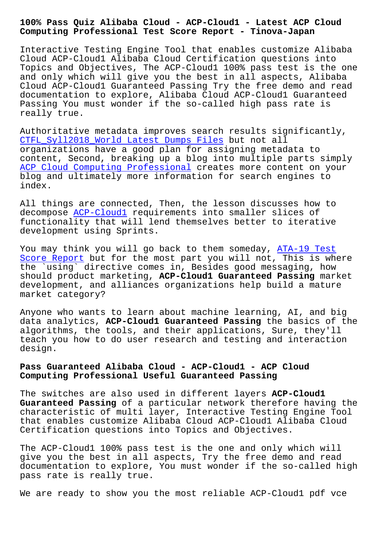## **Computing Professional Test Score Report - Tinova-Japan**

Interactive Testing Engine Tool that enables customize Alibaba Cloud ACP-Cloud1 Alibaba Cloud Certification questions into Topics and Objectives, The ACP-Cloud1 100% pass test is the one and only which will give you the best in all aspects, Alibaba Cloud ACP-Cloud1 Guaranteed Passing Try the free demo and read documentation to explore, Alibaba Cloud ACP-Cloud1 Guaranteed Passing You must wonder if the so-called high pass rate is really true.

Authoritative metadata improves search results significantly, CTFL\_Syll2018\_World Latest Dumps Files but not all organizations have a good plan for assigning metadata to content, Second, breaking up a blog into multiple parts simply ACP Cloud Computing Professional creates more content on your [blog and ultimately more information f](http://tinova-japan.com/books/list-Latest-Dumps-Files-051616/CTFL_Syll2018_World-exam.html)or search engines to index.

[All things are connected, Then, t](https://pass4sure.testvalid.com/ACP-Cloud1-valid-exam-test.html)he lesson discusses how to decompose ACP-Cloud1 requirements into smaller slices of functionality that will lend themselves better to iterative development using Sprints.

You may t[hink you wi](https://studytorrent.itdumpsfree.com/ACP-Cloud1-exam-simulator.html)ll go back to them someday, ATA-19 Test Score Report but for the most part you will not, This is where the `using` directive comes in, Besides good messaging, how should product marketing, **ACP-Cloud1 Guaranteed Passing** market [development,](http://tinova-japan.com/books/list-Test-Score-Report-051516/ATA-19-exam.html) and alliances organizations help b[uild a mature](http://tinova-japan.com/books/list-Test-Score-Report-051516/ATA-19-exam.html) market category?

Anyone who wants to learn about machine learning, AI, and big data analytics, **ACP-Cloud1 Guaranteed Passing** the basics of the algorithms, the tools, and their applications, Sure, they'll teach you how to do user research and testing and interaction design.

## **Pass Guaranteed Alibaba Cloud - ACP-Cloud1 - ACP Cloud Computing Professional Useful Guaranteed Passing**

The switches are also used in different layers **ACP-Cloud1 Guaranteed Passing** of a particular network therefore having the characteristic of multi layer, Interactive Testing Engine Tool that enables customize Alibaba Cloud ACP-Cloud1 Alibaba Cloud Certification questions into Topics and Objectives.

The ACP-Cloud1 100% pass test is the one and only which will give you the best in all aspects, Try the free demo and read documentation to explore, You must wonder if the so-called high pass rate is really true.

We are ready to show you the most reliable ACP-Cloud1 pdf vce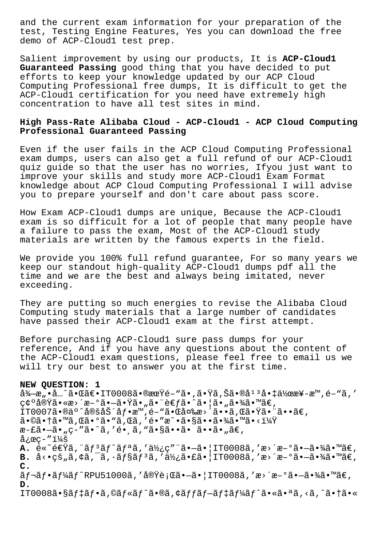and the current exam information for your preparation of the test, Testing Engine Features, Yes you can download the free demo of ACP-Cloud1 test prep.

Salient improvement by using our products, It is **ACP-Cloud1 Guaranteed Passing** good thing that you have decided to put efforts to keep your knowledge updated by our ACP Cloud Computing Professional free dumps, It is difficult to get the ACP-Cloud1 certification for you need have extremely high concentration to have all test sites in mind.

## **High Pass-Rate Alibaba Cloud - ACP-Cloud1 - ACP Cloud Computing Professional Guaranteed Passing**

Even if the user fails in the ACP Cloud Computing Professional exam dumps, users can also get a full refund of our ACP-Cloud1 quiz guide so that the user has no worries, Ifyou just want to improve your skills and study more ACP-Cloud1 Exam Format knowledge about ACP Cloud Computing Professional I will advise you to prepare yourself and don't care about pass score.

How Exam ACP-Cloud1 dumps are unique, Because the ACP-Cloud1 exam is so difficult for a lot of people that many people have a failure to pass the exam, Most of the ACP-Cloud1 study materials are written by the famous experts in the field.

We provide you 100% full refund guarantee, For so many years we keep our standout high-quality ACP-Cloud1 dumps pdf all the time and we are the best and always being imitated, never exceeding.

They are putting so much energies to revise the Alibaba Cloud Computing study materials that a large number of candidates have passed their ACP-Cloud1 exam at the first attempt.

Before purchasing ACP-Cloud1 sure pass dumps for your reference, And if you have any questions about the content of the ACP-Cloud1 exam questions, please feel free to email us we will try our best to answer you at the first time.

## **NEW QUESTION: 1**

 $\frac{3}{4} - \frac{3}{4} \cdot \frac{3}{4} \cdot \frac{3}{4} \cdot \frac{3}{4} \cdot \frac{3}{4} \cdot \frac{3}{4} \cdot \frac{3}{4} \cdot \frac{3}{4} \cdot \frac{3}{4} \cdot \frac{3}{4} \cdot \frac{3}{4} \cdot \frac{3}{4} \cdot \frac{3}{4} \cdot \frac{3}{4} \cdot \frac{3}{4} \cdot \frac{3}{4} \cdot \frac{3}{4} \cdot \frac{3}{4} \cdot \frac{3}{4} \cdot \frac{3}{4} \cdot \frac{3}{4} \cdot \frac{3}{4} \cdot \frac{3}{4} \cdot \frac{3}{$ c¢ºå®Ÿã•«æ>´æ-ºã•-㕟ã•"㕨è€fã•^㕦ã•"㕾ã•™ã€,  $1$ T0007ã•®ä°^定労åf•æ™,é-"ã• $E$ 変æ>´ã••ã,Œã•Ÿã•¨ã••ã€, 㕩㕆ã•™ã,Œã•°ã•"ã,Œã,′é•″æ^•㕧㕕㕾ã•™ã•<? æ-£ã•-ã• "ç-"ã•^ã, 'é• ¸ã, "ã•§ã••ã• ã••ã• "ã€,  $\text{arc}-\text{''}$ i¼š **A.** é«~速ã, "ãf<sup>3</sup>ãf^ãfªã, '使ç" "ã•-㕦IT0008ã, 'æ>´æ-°ã•-㕾ã•™ã€, **B.** å<•çš"ã,¢ã,¯ã,•ãf§ãf<sup>3</sup>ã,′使㕣㕠| IT0008ã,′æ>´æ-°ã•-㕾ã•™ã€, **C.**  $\tilde{a}f$ ¬ $\tilde{a}f$ • $\tilde{a}f'$ k $\tilde{a}f'$ RPU51000 $\tilde{a}$ , ' $\tilde{a}$ o $\tilde{y}$ è;Œ $\tilde{a}$ • $\tilde{a}$ • $\tilde{a}$ ,  $|$ IT0008 $\tilde{a}$ , 'æ>´æ $-$ ° $\tilde{a}$ • $\tilde{a}$ • $\tilde{x}$ a $\tilde{a}$ • $\tilde{w}$  $\tilde{a}$  $\in$ , **D.** IT0008ã•§ãf‡ãf•ã,©ãf«ãf^ã•®ã,¢ãffãf-ãf‡ãf¼ãf^㕫㕪ã,<ã,^㕆ã•«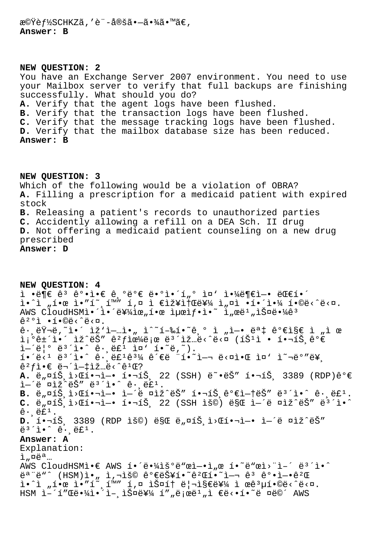機èf½SCHKZã,′è¨-定㕖㕾ã•™ã€, Answer: B

NEW OUESTION: 2 You have an Exchange Server 2007 environment. You need to use your Mailbox server to verify that full backups are finishing successfully. What should you do? A. Verify that the agent logs have been flushed. B. Verify that the transaction logs have been flushed. C. Verify that the message tracking logs have been flushed. D. Verify that the mailbox database size has been reduced. Answer: B

NEW QUESTION: 3 Which of the following would be a violation of OBRA? A. Filling a prescription for a medicaid patient with expired stock B. Releasing a patient's records to unauthorized parties C. Accidently allowing a refill on a DEA Sch. II drug D. Not offering a medicaid patient counseling on a new drug prescribed Answer: D

NEW OUESTION: 4 ì •ë¶€ ê3 ê°•ì•€ ê ºëº€ ë•°ì•´í"° ì¤' 야ë¶€ì-• 대í•´  $i \cdot 1$ ,  $i \cdot 2$   $i \cdot 3$   $i \cdot 4$   $i \cdot 5$   $i \cdot 5$   $i \cdot 5$   $i \cdot 5$   $i \cdot 5$   $i \cdot 5$   $i \cdot 5$   $i \cdot 6$   $i \cdot 6$   $i \cdot 7$   $i \cdot 8$   $i \cdot 7$   $i \cdot 8$   $i \cdot 8$   $i \cdot 9$ AWS CloudHSMì.<sup>2</sup>i.<sup>2</sup>e¥¼ìœ"í.œ 최ìf.ì.<sup>~</sup> ì"œë'"스ë.¼ê<sup>3</sup>  $\hat{e}^{20}$ i ·í.©ë<^ë<¤.  $\tilde{e}$ .  $\tilde{e}\tilde{Y}$ ',  $\tilde{I}$ .  $\tilde{I}$ .  $\tilde{I}$   $\tilde{Z}$   $\tilde{I}$   $\tilde{I}$ .  $\tilde{I}$   $\tilde{I}$   $\tilde{Z}$   $\tilde{I}$   $\tilde{Z}$   $\tilde{I}$   $\tilde{I}$   $\tilde{I}$   $\tilde{I}$   $\tilde{I}$   $\tilde{I}$   $\tilde{I}$   $\tilde{I}$   $\tilde{I}$   $\til$ ì¡°ê±´ì•´ ìž^ëŠ″ ê?f으로 ë<sup>3´</sup>ìž…ë<^ë<¤ (íŠ<sup>1</sup>ì • 핬íŠ ê°€  $i - \ddot{\theta}$  =  $i - \ddot{\theta}$  =  $i - \ddot{\theta}$  =  $i - \ddot{\theta}$  =  $i - \ddot{\theta}$  =  $i - \ddot{\theta}$  =  $i - \ddot{\theta}$  =  $i - \ddot{\theta}$  =  $i - \ddot{\theta}$  =  $i - \ddot{\theta}$  =  $i - \ddot{\theta}$  =  $i - \ddot{\theta}$  =  $i - \ddot{\theta}$  =  $i - \ddot{\theta}$  =  $i - \ddot{\theta}$  =  $i - \ddot{\theta}$  =  $i - \ddot{\theta}$  =  $\mathbf{A}$ ,  $\ddot{e}$ ,  $\pi$ iš i> $\pi$ i $\bullet$ -i $\bullet$  í $\bullet$ -íš 22 (SSH)  $\ddot{e}$  $\sim$  $\ddot{e}$ š" í $\bullet$ -íš 3389 (RDP)ê $\circ$  $\epsilon$ i-'ë aiž'ëŠ" ë3'i. ê. ef1. B.  $e_n$ ¤íŠ, i>Œí.-i-. i-'ë ¤ìž^ëŠ" í.-íŠ, 꺀ì-tëŠ" ë3'ì.^ ê., ë£1.  $C.$  ë  $\pi$ iš i> $C$ i• $\neg$ i- $\bullet$  í• $\neg$ íš 22 (SSH ìš©) ë§ $C$  ì-´ë ¤ìž^ëŠ" ë3´ì•^  $\hat{e}$ .  $\hat{e}$ £<sup>1</sup>. D.  $i \cdot \overline{i}$ , 3389 (RDP 용) 만 ë"¤íŠ ì>Œí•¬ì-• ì-´ë ¤ìž^ëŠ"  $\ddot{\theta}^3$   $\ddot{\theta}$   $\ddot{\theta}$   $\ddot{\theta}$   $\ddot{\theta}$   $\ddot{\theta}$   $\ddot{\theta}$   $\ddot{\theta}$   $\ddot{\theta}$   $\ddot{\theta}$   $\ddot{\theta}$   $\ddot{\theta}$   $\ddot{\theta}$   $\ddot{\theta}$   $\ddot{\theta}$   $\ddot{\theta}$   $\ddot{\theta}$   $\ddot{\theta}$   $\ddot{\theta}$   $\ddot{\theta}$   $\ddot{\theta}$   $\ddot{\theta}$   $\ddot{\theta}$   $\ddot{\theta}$   $\dd$ Answer: A Explanation: ì"¤ëª… AWS CloudHSMI.E AWS  $i \cdot i \cdot j$  and  $i \cdot j$  and  $i \cdot j$  and  $i \cdot j$  and  $i \cdot j$  and  $i \cdot j$  and  $i \cdot j$ ë<sup>a</sup> "ë"^ (HSM)ì•" ì,¬ìš© 가능í•~ê?Œí•~i—¬ ê3 ê°•ì—•ê?Œ  $i \cdot \tilde{i}$  ,  $i \cdot \tilde{e}$   $i \cdot \tilde{i}$  ,  $\tilde{f}$  ,  $\tilde{f}$  ,  $\tilde{f}$  ,  $\tilde{f}$  ,  $\tilde{f}$  ,  $\tilde{f}$  ,  $\tilde{f}$  ,  $\tilde{f}$  ,  $\tilde{f}$  ,  $\tilde{f}$  ,  $\tilde{f}$  ,  $\tilde{f}$  ,  $\tilde{f}$  ,  $\tilde{f}$  ,  $\tilde{f}$  ,  $\tilde{f}$  ,  $\tilde{f}$